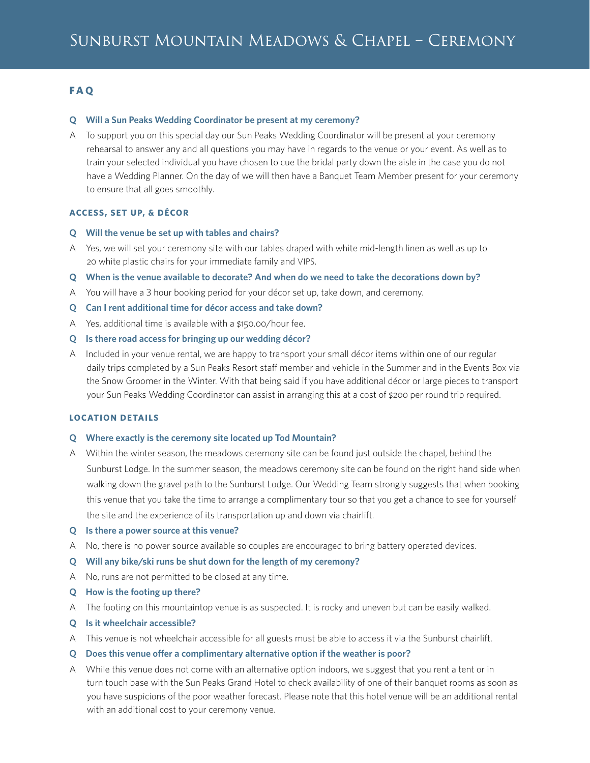# **F A Q**

#### **Q Will a Sun Peaks Wedding Coordinator be present at my ceremony?**

A To support you on this special day our Sun Peaks Wedding Coordinator will be present at your ceremony rehearsal to answer any and all questions you may have in regards to the venue or your event. As well as to train your selected individual you have chosen to cue the bridal party down the aisle in the case you do not have a Wedding Planner. On the day of we will then have a Banquet Team Member present for your ceremony to ensure that all goes smoothly.

## **ACCESS, SET UP, & DÉCOR**

- **Q Will the venue be set up with tables and chairs?**
- A Yes, we will set your ceremony site with our tables draped with white mid-length linen as well as up to 20 white plastic chairs for your immediate family and VIPS.
- **Q When is the venue available to decorate? And when do we need to take the decorations down by?**
- A You will have a 3 hour booking period for your décor set up, take down, and ceremony.
- **Q Can I rent additional time for décor access and take down?**
- A Yes, additional time is available with a \$150.00/hour fee.
- **Q Is there road access for bringing up our wedding décor?**
- A Included in your venue rental, we are happy to transport your small décor items within one of our regular daily trips completed by a Sun Peaks Resort staff member and vehicle in the Summer and in the Events Box via the Snow Groomer in the Winter. With that being said if you have additional décor or large pieces to transport your Sun Peaks Wedding Coordinator can assist in arranging this at a cost of \$200 per round trip required.

## **LOCATION DETAILS**

#### **Q Where exactly is the ceremony site located up Tod Mountain?**

- A Within the winter season, the meadows ceremony site can be found just outside the chapel, behind the Sunburst Lodge. In the summer season, the meadows ceremony site can be found on the right hand side when walking down the gravel path to the Sunburst Lodge. Our Wedding Team strongly suggests that when booking this venue that you take the time to arrange a complimentary tour so that you get a chance to see for yourself the site and the experience of its transportation up and down via chairlift.
- **Q Is there a power source at this venue?**
- A No, there is no power source available so couples are encouraged to bring battery operated devices.
- **Q Will any bike/ski runs be shut down for the length of my ceremony?**
- A No, runs are not permitted to be closed at any time.
- **Q How is the footing up there?**
- A The footing on this mountaintop venue is as suspected. It is rocky and uneven but can be easily walked.
- **Q Is it wheelchair accessible?**
- A This venue is not wheelchair accessible for all guests must be able to access it via the Sunburst chairlift.
- **Q Does this venue offer a complimentary alternative option if the weather is poor?**
- A While this venue does not come with an alternative option indoors, we suggest that you rent a tent or in turn touch base with the Sun Peaks Grand Hotel to check availability of one of their banquet rooms as soon as you have suspicions of the poor weather forecast. Please note that this hotel venue will be an additional rental with an additional cost to your ceremony venue.